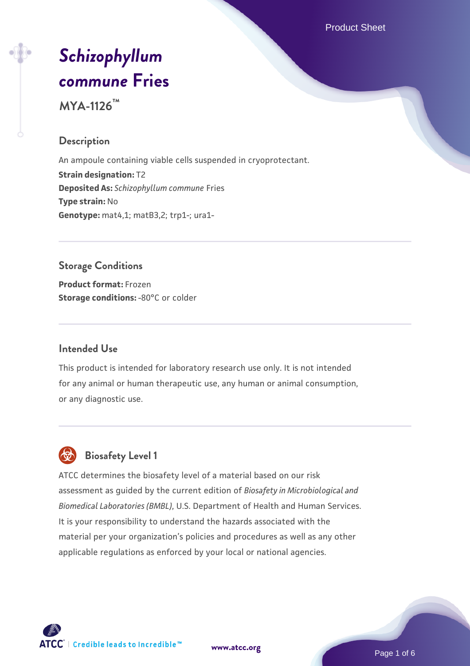Product Sheet

# *[Schizophyllum](https://www.atcc.org/products/mya-1126) [commune](https://www.atcc.org/products/mya-1126)* **[Fries](https://www.atcc.org/products/mya-1126)**

**MYA-1126™**

# **Description**

An ampoule containing viable cells suspended in cryoprotectant. **Strain designation:** T2 **Deposited As:** *Schizophyllum commune* Fries **Type strain:** No **Genotype:** mat4,1; matB3,2; trp1-; ura1-

#### **Storage Conditions**

**Product format:** Frozen **Storage conditions: -80°C or colder** 

#### **Intended Use**

This product is intended for laboratory research use only. It is not intended for any animal or human therapeutic use, any human or animal consumption, or any diagnostic use.

# **Biosafety Level 1**

ATCC determines the biosafety level of a material based on our risk assessment as guided by the current edition of *Biosafety in Microbiological and Biomedical Laboratories (BMBL)*, U.S. Department of Health and Human Services. It is your responsibility to understand the hazards associated with the material per your organization's policies and procedures as well as any other applicable regulations as enforced by your local or national agencies.



**[www.atcc.org](http://www.atcc.org)**

Page 1 of 6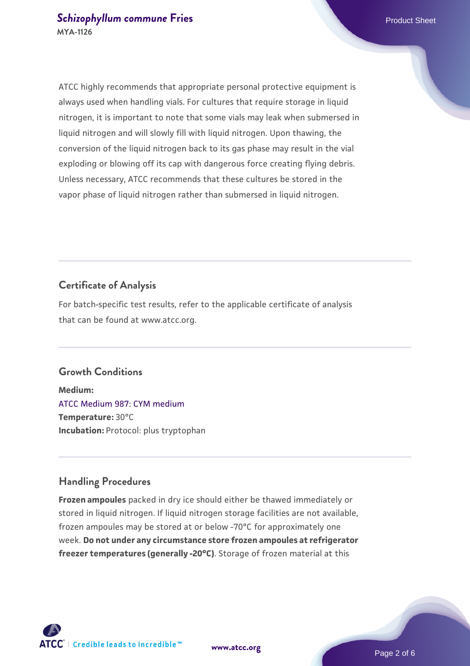ATCC highly recommends that appropriate personal protective equipment is always used when handling vials. For cultures that require storage in liquid nitrogen, it is important to note that some vials may leak when submersed in liquid nitrogen and will slowly fill with liquid nitrogen. Upon thawing, the conversion of the liquid nitrogen back to its gas phase may result in the vial exploding or blowing off its cap with dangerous force creating flying debris. Unless necessary, ATCC recommends that these cultures be stored in the vapor phase of liquid nitrogen rather than submersed in liquid nitrogen.

# **Certificate of Analysis**

For batch-specific test results, refer to the applicable certificate of analysis that can be found at www.atcc.org.

#### **Growth Conditions**

**Medium:**  [ATCC Medium 987: CYM medium](https://www.atcc.org/-/media/product-assets/documents/microbial-media-formulations/9/8/7/atcc-medium-987.pdf?rev=80a7aaba0d6d4927a359e9ccdb642bf4) **Temperature:** 30°C **Incubation:** Protocol: plus tryptophan

#### **Handling Procedures**

**Frozen ampoules** packed in dry ice should either be thawed immediately or stored in liquid nitrogen. If liquid nitrogen storage facilities are not available, frozen ampoules may be stored at or below -70°C for approximately one week. **Do not under any circumstance store frozen ampoules at refrigerator freezer temperatures (generally -20°C)**. Storage of frozen material at this

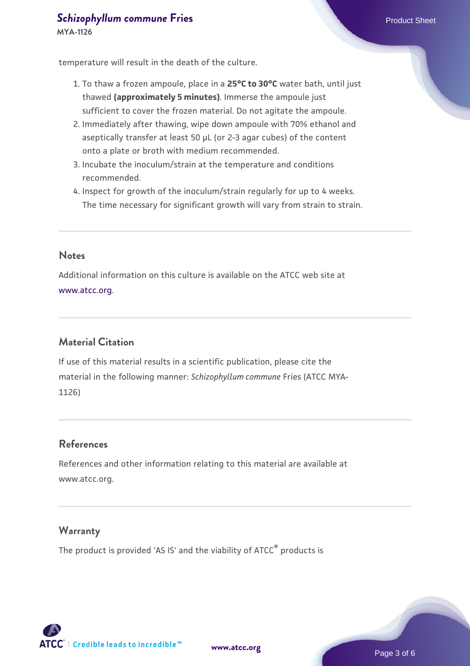# **[Schizophyllum commune](https://www.atcc.org/products/mya-1126)** [Fries](https://www.atcc.org/products/mya-1126) **Product Sheet** Product Sheet

temperature will result in the death of the culture.

- 1. To thaw a frozen ampoule, place in a **25°C to 30°C** water bath, until just thawed **(approximately 5 minutes)**. Immerse the ampoule just sufficient to cover the frozen material. Do not agitate the ampoule.
- 2. Immediately after thawing, wipe down ampoule with 70% ethanol and aseptically transfer at least 50 µL (or 2-3 agar cubes) of the content onto a plate or broth with medium recommended.
- 3. Incubate the inoculum/strain at the temperature and conditions recommended.
- 4. Inspect for growth of the inoculum/strain regularly for up to 4 weeks. The time necessary for significant growth will vary from strain to strain.

#### **Notes**

Additional information on this culture is available on the ATCC web site at [www.atcc.org.](http://www.atcc.org/)

# **Material Citation**

If use of this material results in a scientific publication, please cite the material in the following manner: *Schizophyllum commune* Fries (ATCC MYA-1126)

#### **References**

References and other information relating to this material are available at www.atcc.org.

#### **Warranty**

The product is provided 'AS IS' and the viability of ATCC® products is



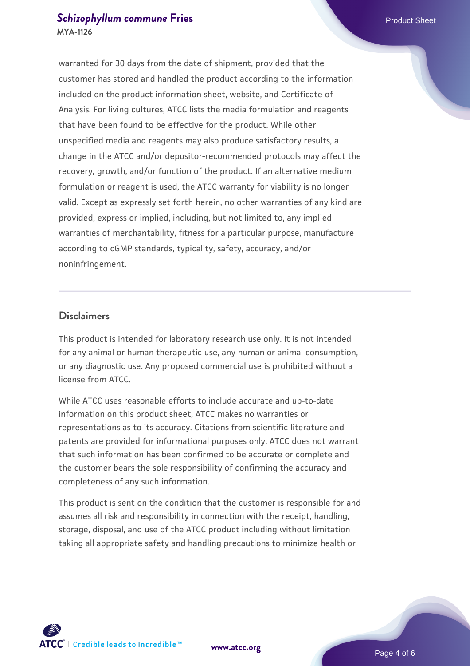# **[Schizophyllum commune](https://www.atcc.org/products/mya-1126)** [Fries](https://www.atcc.org/products/mya-1126) **Product Sheet** Product Sheet **MYA-1126**

warranted for 30 days from the date of shipment, provided that the customer has stored and handled the product according to the information included on the product information sheet, website, and Certificate of Analysis. For living cultures, ATCC lists the media formulation and reagents that have been found to be effective for the product. While other unspecified media and reagents may also produce satisfactory results, a change in the ATCC and/or depositor-recommended protocols may affect the recovery, growth, and/or function of the product. If an alternative medium formulation or reagent is used, the ATCC warranty for viability is no longer valid. Except as expressly set forth herein, no other warranties of any kind are provided, express or implied, including, but not limited to, any implied warranties of merchantability, fitness for a particular purpose, manufacture according to cGMP standards, typicality, safety, accuracy, and/or noninfringement.

#### **Disclaimers**

This product is intended for laboratory research use only. It is not intended for any animal or human therapeutic use, any human or animal consumption, or any diagnostic use. Any proposed commercial use is prohibited without a license from ATCC.

While ATCC uses reasonable efforts to include accurate and up-to-date information on this product sheet, ATCC makes no warranties or representations as to its accuracy. Citations from scientific literature and patents are provided for informational purposes only. ATCC does not warrant that such information has been confirmed to be accurate or complete and the customer bears the sole responsibility of confirming the accuracy and completeness of any such information.

This product is sent on the condition that the customer is responsible for and assumes all risk and responsibility in connection with the receipt, handling, storage, disposal, and use of the ATCC product including without limitation taking all appropriate safety and handling precautions to minimize health or



**[www.atcc.org](http://www.atcc.org)**

Page 4 of 6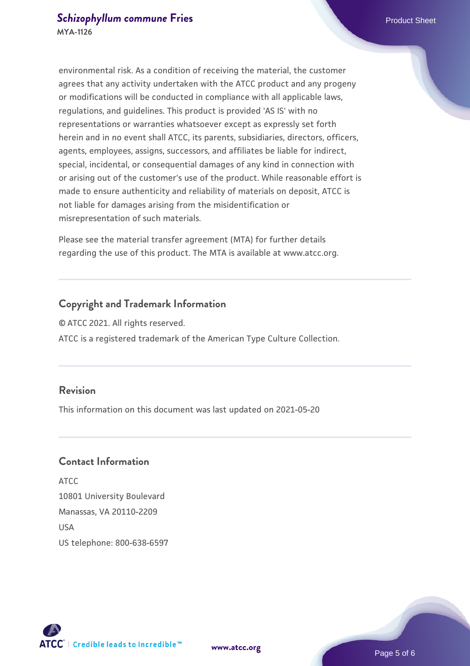environmental risk. As a condition of receiving the material, the customer agrees that any activity undertaken with the ATCC product and any progeny or modifications will be conducted in compliance with all applicable laws, regulations, and guidelines. This product is provided 'AS IS' with no representations or warranties whatsoever except as expressly set forth herein and in no event shall ATCC, its parents, subsidiaries, directors, officers, agents, employees, assigns, successors, and affiliates be liable for indirect, special, incidental, or consequential damages of any kind in connection with or arising out of the customer's use of the product. While reasonable effort is made to ensure authenticity and reliability of materials on deposit, ATCC is not liable for damages arising from the misidentification or misrepresentation of such materials.

Please see the material transfer agreement (MTA) for further details regarding the use of this product. The MTA is available at www.atcc.org.

# **Copyright and Trademark Information**

© ATCC 2021. All rights reserved. ATCC is a registered trademark of the American Type Culture Collection.

## **Revision**

This information on this document was last updated on 2021-05-20

# **Contact Information**

ATCC 10801 University Boulevard Manassas, VA 20110-2209 **IISA** US telephone: 800-638-6597